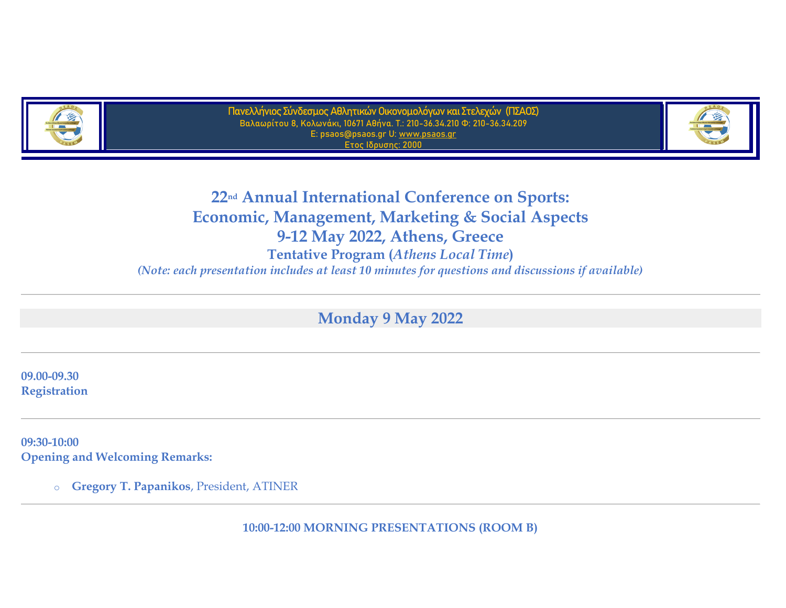

**Πανελλήνιος Σύνδεσμος Αθλητικών Οικονομολόγων και Στελεχών (ΠΣΑΟΣ) Βαλαωρίτου 8, Κολωνάκι, 10671 Αθήνα. Τ.: 210-36.34.210 Φ: 210-36.34.209 E: psaos@psaos.gr U: [www.psaos.gr](http://www.psaos.gr/) Ετος Ιδρυσης: 2000**



**22nd Annual International Conference on Sports: Economic, Management, Marketing & Social Aspects 9-12 May 2022, Athens, Greece Tentative Program (***Athens Local Time***)** *(Note: each presentation includes at least 10 minutes for questions and discussions if available)*

**Monday 9 May 2022**

**09.00-09.30 Registration**

**09:30-10:00 Opening and Welcoming Remarks:**

o **Gregory T. Papanikos**, President, ATINER

**10:00-12:00 MORNING PRESENTATIONS (ROOM B)**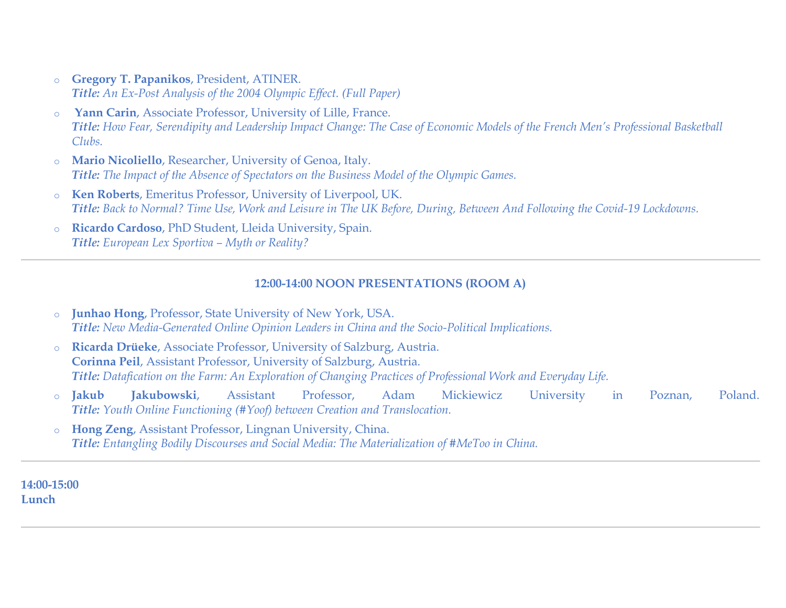- o **Gregory T. Papanikos**, President, ATINER. *Title: An Ex-Post Analysis of the 2004 Olympic Effect. [\(Full Paper\)](https://www.athensjournals.gr/sports/2022-9-1-4-Papanikos.pdf)*
- o **Yann Carin**, Associate Professor, University of Lille, France. *Title: How Fear, Serendipity and Leadership Impact Change: The Case of Economic Models of the French Men's Professional Basketball Clubs.*
- o **Mario Nicoliello**, Researcher, University of Genoa, Italy. *Title: The Impact of the Absence of Spectators on the Business Model of the Olympic Games.*
- o **Ken Roberts**, Emeritus Professor, University of Liverpool, UK. *Title: Back to Normal? Time Use, Work and Leisure in The UK Before, During, Between And Following the Covid-19 Lockdowns.*
- o **Ricardo Cardoso**, PhD Student, Lleida University, Spain. *Title: European Lex Sportiva – Myth or Reality?*

# **12:00-14:00 NOON PRESENTATIONS (ROOM A)**

- o **Junhao Hong**, Professor, State University of New York, USA. *Title: New Media-Generated Online Opinion Leaders in China and the Socio-Political Implications.*
- o **Ricarda Drüeke**, Associate Professor, University of Salzburg, Austria. **Corinna Peil**, Assistant Professor, University of Salzburg, Austria. *Title: Datafication on the Farm: An Exploration of Changing Practices of Professional Work and Everyday Life.*
- o **Jakub Jakubowski**, Assistant Professor, Adam Mickiewicz University in Poznan, Poland. *Title: Youth Online Functioning (#Yoof) between Creation and Translocation.*
- o **Hong Zeng**, Assistant Professor, Lingnan University, China. *Title: Entangling Bodily Discourses and Social Media: The Materialization of #MeToo in China.*

**14:00-15:00 Lunch**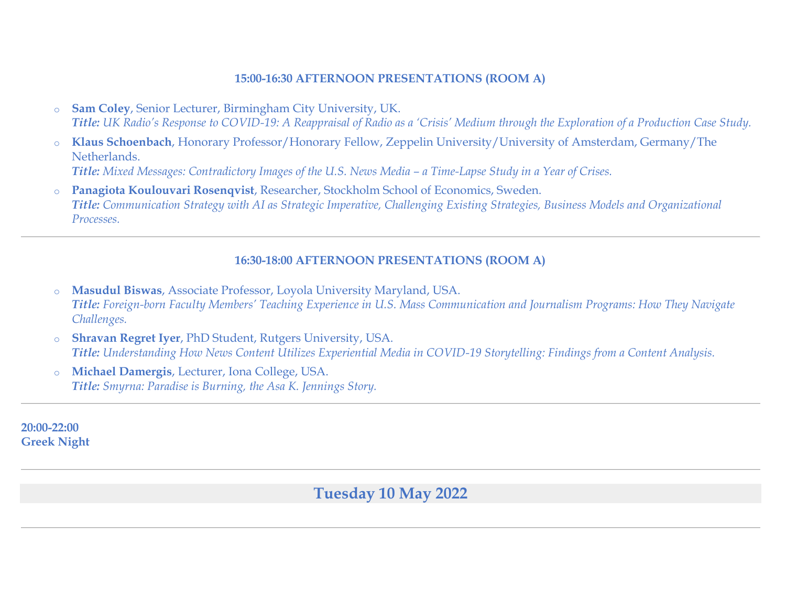## **15:00-16:30 AFTERNOON PRESENTATIONS (ROOM A)**

- o **Sam Coley**, Senior Lecturer, Birmingham City University, UK. *Title: UK Radio's Response to COVID-19: A Reappraisal of Radio as a 'Crisis' Medium through the Exploration of a Production Case Study.*
- o **Klaus Schoenbach**, Honorary Professor/Honorary Fellow, Zeppelin University/University of Amsterdam, Germany/The Netherlands. *Title: Mixed Messages: Contradictory Images of the U.S. News Media – a Time-Lapse Study in a Year of Crises.*
- o **Panagiota Koulouvari Rosenqvist**, Researcher, Stockholm School of Economics, Sweden. *Title: Communication Strategy with AI as Strategic Imperative, Challenging Existing Strategies, Business Models and Organizational Processes.*

# **16:30-18:00 AFTERNOON PRESENTATIONS (ROOM A)**

- o **Masudul Biswas**, Associate Professor, Loyola University Maryland, USA. *Title: Foreign-born Faculty Members' Teaching Experience in U.S. Mass Communication and Journalism Programs: How They Navigate Challenges.*
- o **Shravan Regret Iyer**, PhD Student, Rutgers University, USA. *Title: Understanding How News Content Utilizes Experiential Media in COVID-19 Storytelling: Findings from a Content Analysis.*
- Michael Damergis, Lecturer, Iona College, USA. *Title: Smyrna: Paradise is Burning, the Asa K. Jennings Story.*

**20:00-22:00 Greek Night**

**Tuesday 10 May 2022**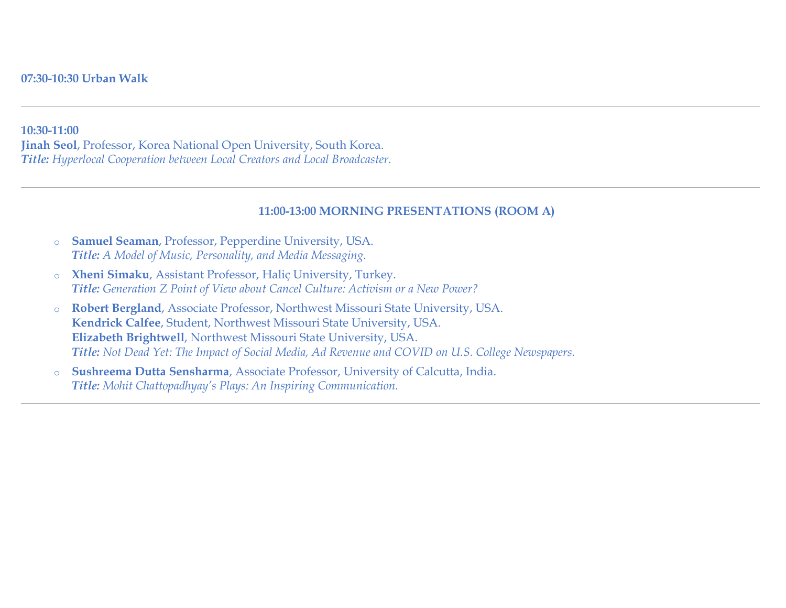#### **10:30-11:00**

**Jinah Seol**, Professor, Korea National Open University, South Korea. *Title: Hyperlocal Cooperation between Local Creators and Local Broadcaster.*

#### **11:00-13:00 MORNING PRESENTATIONS (ROOM A)**

- o **Samuel Seaman**, Professor, Pepperdine University, USA. *Title: A Model of Music, Personality, and Media Messaging.*
- o **Xheni Simaku**, Assistant Professor, Haliç University, Turkey. *Title: Generation Z Point of View about Cancel Culture: Activism or a New Power?*
- o **Robert Bergland**, Associate Professor, Northwest Missouri State University, USA. **Kendrick Calfee**, Student, Northwest Missouri State University, USA. **Elizabeth Brightwell**, Northwest Missouri State University, USA. *Title: Not Dead Yet: The Impact of Social Media, Ad Revenue and COVID on U.S. College Newspapers.*
- o **Sushreema Dutta Sensharma**, Associate Professor, University of Calcutta, India. *Title: Mohit Chattopadhyay's Plays: An Inspiring Communication.*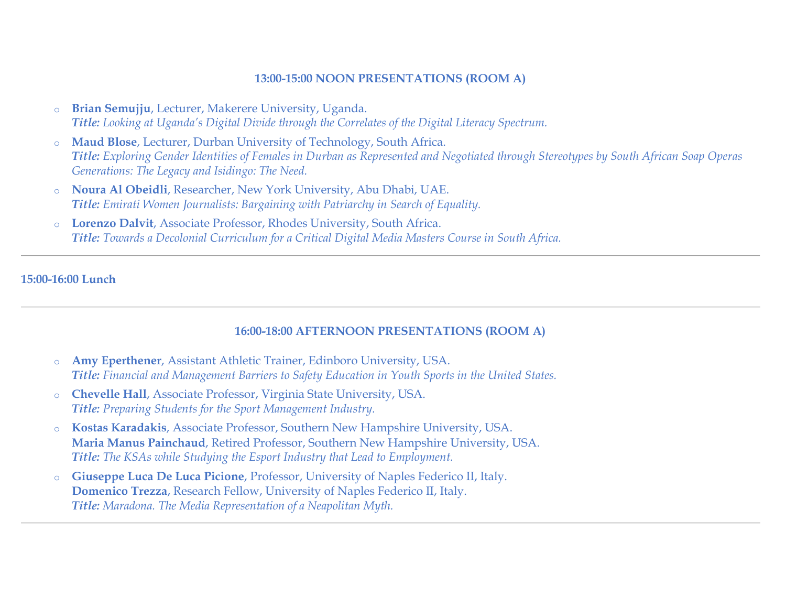## **13:00-15:00 NOON PRESENTATIONS (ROOM A)**

- o **Brian Semujju**, Lecturer, Makerere University, Uganda. *Title: Looking at Uganda's Digital Divide through the Correlates of the Digital Literacy Spectrum.*
- o **Maud Blose**, Lecturer, Durban University of Technology, South Africa. *Title: Exploring Gender Identities of Females in Durban as Represented and Negotiated through Stereotypes by South African Soap Operas Generations: The Legacy and Isidingo: The Need.*
- o **Noura Al Obeidli**, Researcher, New York University, Abu Dhabi, UAE. *Title: Emirati Women Journalists: Bargaining with Patriarchy in Search of Equality.*
- o **Lorenzo Dalvit**, Associate Professor, Rhodes University, South Africa. *Title: Towards a Decolonial Curriculum for a Critical Digital Media Masters Course in South Africa.*

## **15:00-16:00 Lunch**

# **16:00-18:00 AFTERNOON PRESENTATIONS (ROOM A)**

- o **Amy Eperthener**, Assistant Athletic Trainer, Edinboro University, USA. *Title: Financial and Management Barriers to Safety Education in Youth Sports in the United States.*
- o **Chevelle Hall**, Associate Professor, Virginia State University, USA. *Title: Preparing Students for the Sport Management Industry.*
- o **Kostas Karadakis**, Associate Professor, Southern New Hampshire University, USA. **Maria Manus Painchaud**, Retired Professor, Southern New Hampshire University, USA. *Title: The KSAs while Studying the Esport Industry that Lead to Employment.*
- o **Giuseppe Luca De Luca Picione**, Professor, University of Naples Federico II, Italy. **Domenico Trezza**, Research Fellow, University of Naples Federico II, Italy. *Title: Maradona. The Media Representation of a Neapolitan Myth.*